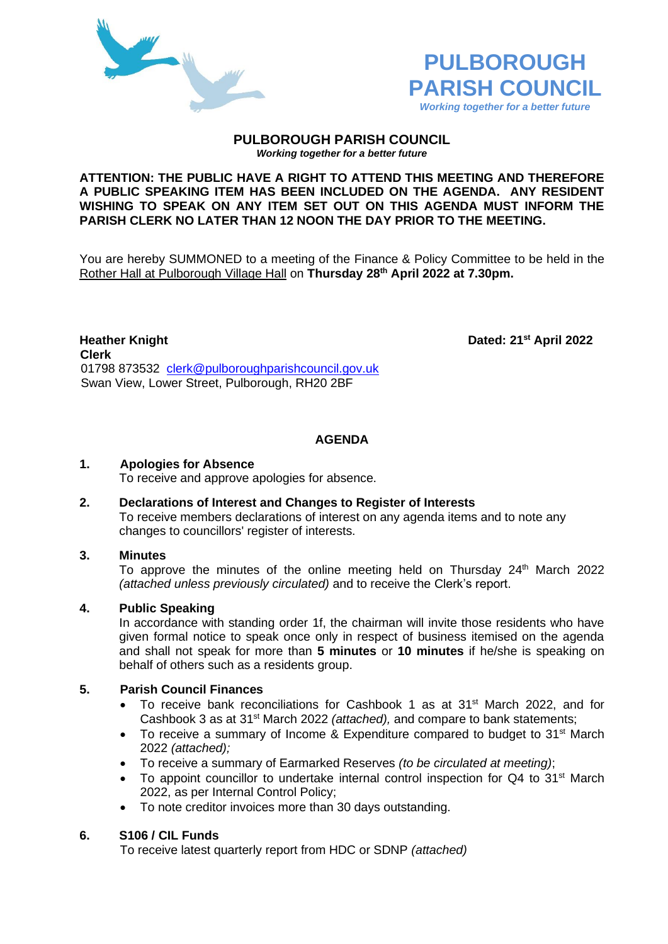



#### **PULBOROUGH PARISH COUNCIL** *Working together for a better future*

#### **ATTENTION: THE PUBLIC HAVE A RIGHT TO ATTEND THIS MEETING AND THEREFORE A PUBLIC SPEAKING ITEM HAS BEEN INCLUDED ON THE AGENDA. ANY RESIDENT WISHING TO SPEAK ON ANY ITEM SET OUT ON THIS AGENDA MUST INFORM THE PARISH CLERK NO LATER THAN 12 NOON THE DAY PRIOR TO THE MEETING.**

You are hereby SUMMONED to a meeting of the Finance & Policy Committee to be held in the Rother Hall at Pulborough Village Hall on **Thursday 28th April 2022 at 7.30pm.** 

**Heather Knight Dated: 21<sup>st</sup> April 2022 Clerk** 01798 873532 [clerk@pulboroughparishcouncil.gov.uk](mailto:clerk@pulboroughparishcouncil.gov.uk) Swan View, Lower Street, Pulborough, RH20 2BF

# **AGENDA**

## **1. Apologies for Absence**

To receive and approve apologies for absence.

#### **2. Declarations of Interest and Changes to Register of Interests** To receive members declarations of interest on any agenda items and to note any changes to councillors' register of interests.

## **3. Minutes**

To approve the minutes of the online meeting held on Thursday  $24<sup>th</sup>$  March 2022 *(attached unless previously circulated)* and to receive the Clerk's report.

## **4. Public Speaking**

In accordance with standing order 1f, the chairman will invite those residents who have given formal notice to speak once only in respect of business itemised on the agenda and shall not speak for more than **5 minutes** or **10 minutes** if he/she is speaking on behalf of others such as a residents group.

#### **5. Parish Council Finances**

- To receive bank reconciliations for Cashbook 1 as at 31<sup>st</sup> March 2022, and for Cashbook 3 as at 31st March 2022 *(attached),* and compare to bank statements;
- To receive a summary of Income & Expenditure compared to budget to 31<sup>st</sup> March 2022 *(attached);*
- To receive a summary of Earmarked Reserves *(to be circulated at meeting)*;
- To appoint councillor to undertake internal control inspection for Q4 to 31<sup>st</sup> March 2022, as per Internal Control Policy;
- To note creditor invoices more than 30 days outstanding.

## **6. S106 / CIL Funds**

To receive latest quarterly report from HDC or SDNP *(attached)*